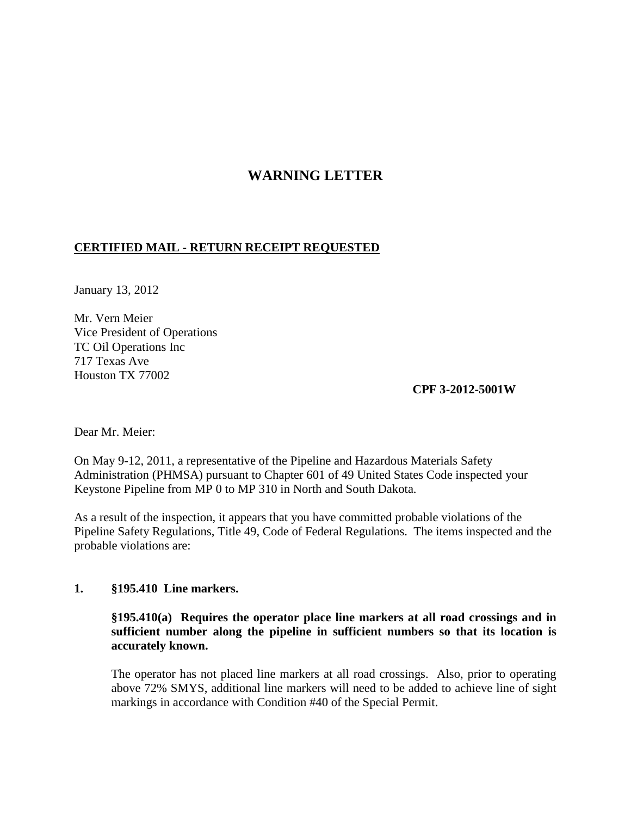# **WARNING LETTER**

# **CERTIFIED MAIL - RETURN RECEIPT REQUESTED**

January 13, 2012

Mr. Vern Meier Vice President of Operations TC Oil Operations Inc 717 Texas Ave Houston TX 77002

**CPF 3-2012-5001W**

Dear Mr. Meier:

On May 9-12, 2011, a representative of the Pipeline and Hazardous Materials Safety Administration (PHMSA) pursuant to Chapter 601 of 49 United States Code inspected your Keystone Pipeline from MP 0 to MP 310 in North and South Dakota.

As a result of the inspection, it appears that you have committed probable violations of the Pipeline Safety Regulations, Title 49, Code of Federal Regulations. The items inspected and the probable violations are:

# **1. §195.410 Line markers.**

# **§195.410(a) Requires the operator place line markers at all road crossings and in sufficient number along the pipeline in sufficient numbers so that its location is accurately known.**

The operator has not placed line markers at all road crossings. Also, prior to operating above 72% SMYS, additional line markers will need to be added to achieve line of sight markings in accordance with Condition #40 of the Special Permit.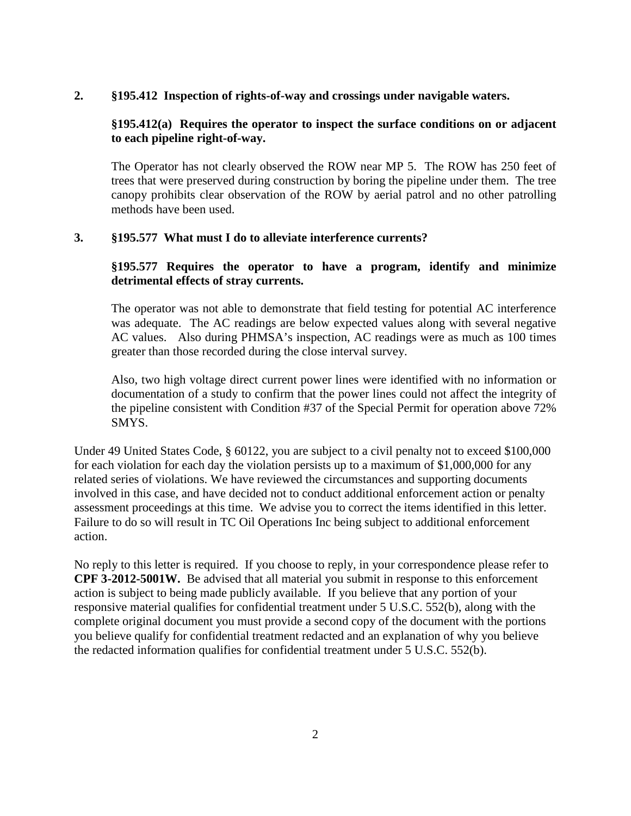#### **2. §195.412 Inspection of rights-of-way and crossings under navigable waters.**

## **§195.412(a) Requires the operator to inspect the surface conditions on or adjacent to each pipeline right-of-way.**

The Operator has not clearly observed the ROW near MP 5. The ROW has 250 feet of trees that were preserved during construction by boring the pipeline under them. The tree canopy prohibits clear observation of the ROW by aerial patrol and no other patrolling methods have been used.

#### **3. §195.577 What must I do to alleviate interference currents?**

# **§195.577 Requires the operator to have a program, identify and minimize detrimental effects of stray currents.**

The operator was not able to demonstrate that field testing for potential AC interference was adequate. The AC readings are below expected values along with several negative AC values. Also during PHMSA's inspection, AC readings were as much as 100 times greater than those recorded during the close interval survey.

Also, two high voltage direct current power lines were identified with no information or documentation of a study to confirm that the power lines could not affect the integrity of the pipeline consistent with Condition #37 of the Special Permit for operation above 72% SMYS.

Under 49 United States Code, § 60122, you are subject to a civil penalty not to exceed \$100,000 for each violation for each day the violation persists up to a maximum of \$1,000,000 for any related series of violations. We have reviewed the circumstances and supporting documents involved in this case, and have decided not to conduct additional enforcement action or penalty assessment proceedings at this time. We advise you to correct the items identified in this letter. Failure to do so will result in TC Oil Operations Inc being subject to additional enforcement action.

No reply to this letter is required. If you choose to reply, in your correspondence please refer to **CPF 3-2012-5001W.** Be advised that all material you submit in response to this enforcement action is subject to being made publicly available. If you believe that any portion of your responsive material qualifies for confidential treatment under 5 U.S.C. 552(b), along with the complete original document you must provide a second copy of the document with the portions you believe qualify for confidential treatment redacted and an explanation of why you believe the redacted information qualifies for confidential treatment under 5 U.S.C. 552(b).